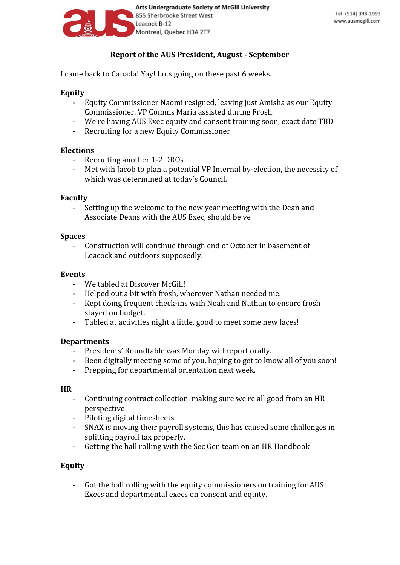

# **Report of the AUS President, August - September**

I came back to Canada! Yay! Lots going on these past 6 weeks.

### **Equity**

- Equity Commissioner Naomi resigned, leaving just Amisha as our Equity Commissioner. VP Comms Maria assisted during Frosh.
- We're having AUS Exec equity and consent training soon, exact date TBD
- Recruiting for a new Equity Commissioner

### **Elections**

- Recruiting another 1-2 DROs
- Met with Jacob to plan a potential VP Internal by-election, the necessity of which was determined at today's Council.

#### **Faculty**

- Setting up the welcome to the new year meeting with the Dean and Associate Deans with the AUS Exec, should be ve

#### **Spaces**

- Construction will continue through end of October in basement of Leacock and outdoors supposedly.

### **Events**

- We tabled at Discover McGill!
- Helped out a bit with frosh, wherever Nathan needed me.
- Kept doing frequent check-ins with Noah and Nathan to ensure frosh stayed on budget.
- Tabled at activities night a little, good to meet some new faces!

#### **Departments**

- Presidents' Roundtable was Monday will report orally.
- Been digitally meeting some of you, hoping to get to know all of you soon!
- Prepping for departmental orientation next week.

#### **HR**

- Continuing contract collection, making sure we're all good from an HR perspective
- Piloting digital timesheets
- SNAX is moving their payroll systems, this has caused some challenges in splitting payroll tax properly.
- Getting the ball rolling with the Sec Gen team on an HR Handbook

### **Equity**

- Got the ball rolling with the equity commissioners on training for AUS Execs and departmental execs on consent and equity.